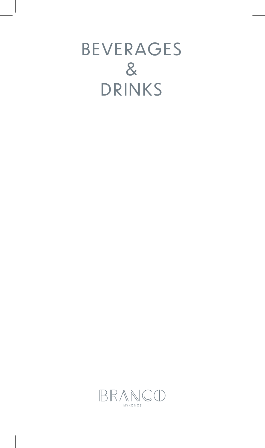# BEVERAGES & DRINKS

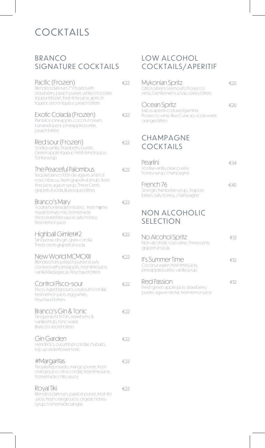# COCKTAILS

#### BRANCO SIGNATURE COCKTAILS

| Pacific (Frozen)<br>Blended dark rum 7* infused with<br>strawberry, peach puree, white chocolate<br>liqueur Mozart, fresh lime juice, apricot<br>liqueur, secret liqueur, peach bitters         | €22           |
|-------------------------------------------------------------------------------------------------------------------------------------------------------------------------------------------------|---------------|
| Exotic Colada (Frozen)<br>Plantation pineapple, coconut cream,<br>banana liqueur, pineapple purée,<br>peach bitters                                                                             | €22           |
| Red sour (Frozen)<br>Vodka vanilla, Štrawberry purée,<br>Green apple liqueur, Fresh lemon juice,<br>Tonka syrup                                                                                 | €22           |
| The Peaceful Palombus<br>Tequila blanco 100% de agave, a hint of<br>rose, hibiscus, fresh grapefruit shrub, fresh<br>lime juice, agave syrup, Three Cents<br>grapefruit soda, Burlesque bitters | €22           |
| Branco's Mary<br>Vodka horseradish infused, fresh home<br>made tomato mix, homemade<br>Worcestershire sauce, salty honey,<br>fresh lemon juice                                                  | €22           |
| Highball Gimlet#2<br>Tanqueray dry gin, grass cordial,<br>Three cents grapefruit soda                                                                                                           | €22           |
| New World MCMCXIII<br>Blended rum, passion puree slowly<br>cooked with pineapple, fresh lime juice,<br>vanilla Madagascar, Peychaud bitters                                                     | $\epsilon$ 22 |
| Control Pisco-sour<br>Pisco, Aged tsipouro, Loukoumi cordial,<br>fresh lemon juice, egg white,<br>Peychaud bitters                                                                              | E22           |
| Branco's Gin & Tonic<br>Tanqueray N.10 Gin, strawberry &<br>vanilla shrub, tonic water,<br><b>Branco's secret bitters</b>                                                                       | €22           |
| Gin Garden<br>Hendrick's, cucumber cordial, rhubarb,<br>top up elderflower tonic                                                                                                                | €22           |
| #Margaritas<br>Tequila Reposado, mango puree, fresh<br>orange juice, citrus cordial, fresh lime juice,<br>homemade chilly sauce                                                                 | €22           |
| Royal Tiki<br>Blended dark rum, passion puree, fresh lim<br>juice, fresh orange juice, orgeat, honey<br>syrup, homemade sangria                                                                 | €22           |

#### LOW ALCOHOL COCKTAILS/APERITIF

| Mykonian Spritz<br>Otto's Athens Vermouth, Prosecco<br>wine, Gentlemen's soda, celery bitters                     | €20           |
|-------------------------------------------------------------------------------------------------------------------|---------------|
| Ocean Spritz<br>Italicus aperitivo infused jasmine,<br>Prosecco wine, Blue Curacao, soda water,<br>orange bitters | €20           |
| CHAMPAGNE<br><b>COCKTAILS</b>                                                                                     |               |
| Pearlini<br>Vodka vanilla, pear purée,<br>honey syrup, champagne                                                  | €34           |
| French 76<br>Sloe gin, framboise syrup, Teapots<br>bitters, salty honey, champagne                                | $\epsilon$ 40 |
| <b>NON ALCOHOLIC</b><br><b>SELECTION</b>                                                                          |               |
| No Alcohol Spritz<br>Non-alcoholic rose wine, Three cents<br>grapefruit soda                                      | €12           |
| lt's Summer Time<br>Coconut water, fresh lime juice,<br>pineapple purée, vanilla syrup                            | €12           |
| <b>Red Passion</b><br>Fresh green apple juice, strawberry                                                         | $\epsilon$ 12 |

purée, agave nectar, fresh lemon juice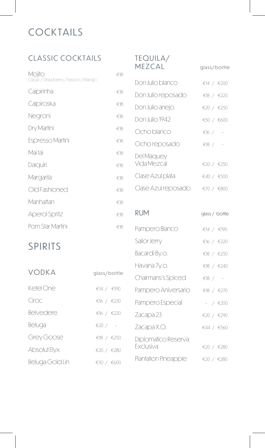# **COCKTAILS**

## CLASSIC COCKTAILS

| Mojito<br>Classic / Strawberry / Passion / Mango | €18 |
|--------------------------------------------------|-----|
| Caipirinha                                       | €18 |
| Caipiroska                                       | €18 |
| Negroni                                          | €18 |
| Dry Martini                                      | €18 |
| <b>Espresso Martini</b>                          | €18 |
| Mai tai                                          | €18 |
| Daiquiri                                         | €18 |
| Margarita                                        | €18 |
| Old Fashioned                                    | €18 |
| Manhattan                                        | €18 |
| <b>Aperol Spritz</b>                             | €18 |
| Porn Star Martini                                | €18 |

#### TEQUILA/ MEZCAL glass/bottle

| Don Julio blanco          | €14 / $€200$   |
|---------------------------|----------------|
| Don Julio reposado        | €18 / €220     |
| Don Julio anejo           | €20 / €250     |
| Don Julio 1942            | €50 / €600     |
| Ocho blanco               | €16 / -        |
| Ocho reposado             | €18 / $-$      |
| Del Maquey<br>Vida Mezcal | €20 / €250     |
| Clase Azul plata          | €40 / €500     |
| Clase Azul reposado       | €70 / €800     |
|                           |                |
| RUM                       | glass / bottle |

Pampero Blanco €14 / €190

Sailor Jerry  $6 / 6220$ 

Bacardi 8y.o.  $618 / 6250$ 

# SPIRITS

| <b>VODKA</b>    |              | Havana 7y.o.         | €18 / $€240$ |
|-----------------|--------------|----------------------|--------------|
|                 | glass/bottle | Chairmans's Spiced   | €18 / $-$    |
| Ketel One       | €14 / €190   | Pampero Aniversario  | €18 / €270   |
| Ciroc           | €16 / €230   | Pampero Especial     | $-$ / €200   |
| Belvedere       | €16 / €220   | Zacapa 23            | €20 / €290   |
| Beluga          | €20 / $-$    | Zacapa X.O.          | €44 / €560   |
| Grey Goose      | €18 / $€250$ | Diplomatico Reserva  |              |
| Absolut Elyx    | €20 / €280   | <b>Exclusiva</b>     | €20 / €280   |
| Beluga Gold Lin | €50 / €600   | Plantation Pineapple | €20 / €280   |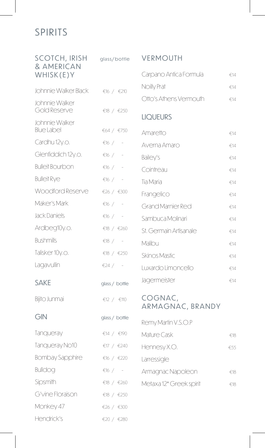## SPIRITS

| <b>SCOTCH, IRISH</b><br>& AMERICAN  | glass/bottle   | <b>VERMOUTH</b>             |     |
|-------------------------------------|----------------|-----------------------------|-----|
| WHISK(E)Y                           |                | Carpano Antica Formula      | €14 |
| Johnnie Walker Black                | €16 / €210     | Noilly Prat                 | €14 |
| Johnnie Walker<br>Gold Reserve      | €18 / $€250$   | Otto's Athens Vermouth      | €14 |
| Johnnie Walker<br><b>Blue Label</b> | €64 / €750     | <b>LIQUEURS</b><br>Amaretto | €14 |
| Cardhu 12y.o.                       | $€16$ /        | Averna Amaro                | €14 |
| Glenfiddich 12y.o.                  | €16 / $-$      | Bailey's                    | €14 |
| <b>Bulleit Bourbon</b>              | €16 / $-$      | Cointreau                   | €14 |
| <b>Bulleit Rye</b>                  | €16 / $-$      | Tia Maria                   | €14 |
| Woodford Reserve                    | €26 / €300     | Frangelico                  | €14 |
| Maker's Mark                        | $€16$ /        | <b>Grand Marnier Red</b>    | €14 |
| Jack Daniels                        | €16 / $-$      | Sambuca Molinari            | €14 |
| Ardbeg10y.o.                        | €18 / €260     | St. Germain Artisanale      | €14 |
| <b>Bushmills</b>                    | $\xi$ 18 / -   | Malibu                      | €14 |
| Talisker 10y.o.                     | €18 / $€250$   | Skinos Mastic               | €14 |
| Lagavullin                          | €24 / $-$      | Luxardo Limoncello          | €14 |
| <b>SAKE</b>                         | glass / bottle | Jagermeister                | €14 |
| Bijito Junmai                       | €12 / $€110$   | COGNAC,<br>ARMAGNAC, BRANDY |     |
| GIN                                 | glass / bottle | Remy Martin V.S.O.P         |     |
| Tanqueray                           | €14 / €190     | Mature Cask                 | €18 |
| Tanqueray No10                      | €17 / €240     | Hennesy X.O.                | €55 |
| <b>Bombay Sapphire</b>              | €16 / €220     | Larressigle                 |     |
| <b>Bulldog</b>                      | €16 / $-$      | Armagnac Napoleon           | €18 |
| Sipsmith                            | €18 / €260     | Metaxa 12* Greek spirit     | €18 |
| G'vine Floraison                    | €18 / $€250$   |                             |     |
| Monkey 47                           | €26 / €300     |                             |     |

Hendrick's  $\epsilon_{20}$  /  $\epsilon_{280}$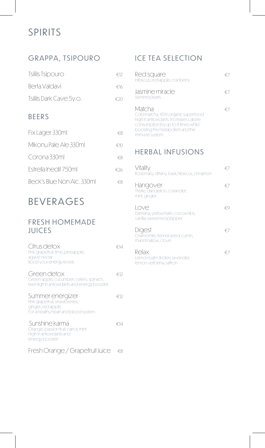# SPIRITS

## GRAPPA, TSIPOURO

| Tsililis Tsipouro          | €12 |
|----------------------------|-----|
| Berta Valdavi              | €16 |
| Tsililis Dark Cave 5y.o.   | €20 |
| <b>BEERS</b>               |     |
| Fix Lager 330ml            | €8  |
| Mikonu Pale Ale 330ml      | €10 |
| Corona 330ml               | €8  |
| Estrella Inedit 750ml      | €26 |
| Beck's Blue Non Alc. 330ml | €8  |

## BEVERAGES

#### FRESH HOMEMADE JUICES

| Citrus detox<br>Pink grapefruit, lime, pineapple,<br>agave nectar<br>Boost your energy levels                   | €14 |
|-----------------------------------------------------------------------------------------------------------------|-----|
| Green detox<br>Green apple, cucumber, celery, spinach,<br>kiwi High in antioxidants and energy booster          | €12 |
| Summer energizer<br>Pink grapefruit, strawberries,<br>ginger, red apple<br>For a healthy heart and blood system | €12 |
| Sunshine karma<br>Orange, passion fruit, carrot, mint<br>High in antioxidants and<br>energy booster             | €14 |
| Fresh Orange / Grapefruit Juice                                                                                 | €8  |

## ICE TEA SELECTION

| Red square<br>Hibiscus, red apple, cranberry                                                                                                                                         |  |
|--------------------------------------------------------------------------------------------------------------------------------------------------------------------------------------|--|
| Jasmine miracle<br>Jasmine pearls                                                                                                                                                    |  |
| Matcha<br>Cold matcha, 100% organic superfood<br>high in antioxidants. Increases calorie<br>consumption by up to 4 times whilst<br>boosting the metabolism and the<br>immune system. |  |

## HERBAL INFUSIONS

| Vitality<br>Rosemary, dittany, basil, hibiscus, cinnamon              | € / |
|-----------------------------------------------------------------------|-----|
| Hangover<br>Thistle, dandelion, coriander,<br>mint, ginger            | € / |
| Love<br>Damiana, yerba mate, cocoa nibs,<br>vanilla, sweet red pepper |     |
| Digest<br>Chamomile, fennel seed, cumin,<br>marshmallow, clove        | € / |
| Relax<br>Lemon balm, linden, lavender,<br>lemon verbena, saffron      | € / |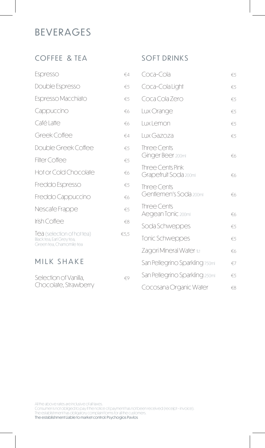## BEVERAGES

## COFFEE & TEA

| Espresso                                                                            | $\xi$ 4         |
|-------------------------------------------------------------------------------------|-----------------|
| Double Espresso                                                                     | €5              |
| Espresso Macchiato                                                                  | €5              |
| Cappuccino                                                                          | €6              |
| Café Latte                                                                          | €6              |
| Greek Coffee                                                                        | $\notin \Delta$ |
| Double Greek Coffee                                                                 | €5              |
| <b>Filter Coffee</b>                                                                | €5              |
| Hot or Cold Chocolate                                                               | €6              |
| Freddo Espresso                                                                     | €5              |
| Freddo Cappuccino                                                                   | €6              |
| Nescafe Frappe                                                                      | €5              |
| Irish Coffee                                                                        | €8              |
| Iea (selection of hot tea)<br>Black tea, Earl Grey tea,<br>Green tea, Chamomile tea | €5,5            |
| MILK SHAKE                                                                          |                 |

#### Selection of Vanilla,  $\epsilon$ 9 Chocolate, Strawberry

#### SOFT DRINKS

| Coca-Cola                                 | €5           |
|-------------------------------------------|--------------|
| Coca-Cola Light                           | €5           |
| Coca Cola Zero                            | €5           |
| Lux Orange                                | €5           |
| Lux Lemon                                 | $\epsilon$ 5 |
| Lux Gazoza                                | €5           |
| Three Cents<br>Ginger Beer 200ml          | €6           |
| Three Cents Pink<br>Grapefruit Soda 200ml | €6           |
| Three Cents<br>Gentlemen's Soda 200ml     | €6           |
| Three Cents<br>Aegean Tonic 200ml         | €6           |
| Soda Schweppes                            | €5           |
| Tonic Schweppes                           | €5           |
| Zagori Mineral Water 1Lt                  | €6           |
| San Pellegrino Sparkling 750ml            | $\notin 7$   |
| San Pellegrino Sparkling 250ml            | $\epsilon$ 5 |
| Cocosana Organic Water                    | $\xi$ 8      |

All the above rates are inclusive of all taxes.

Consumer is not obliged to pay if the notice of payment has not been received (receipt - invoice).

The establishment has obligatory complaint forms for all the customers.

The establishment Liable to market control: Psychogios Pavlos